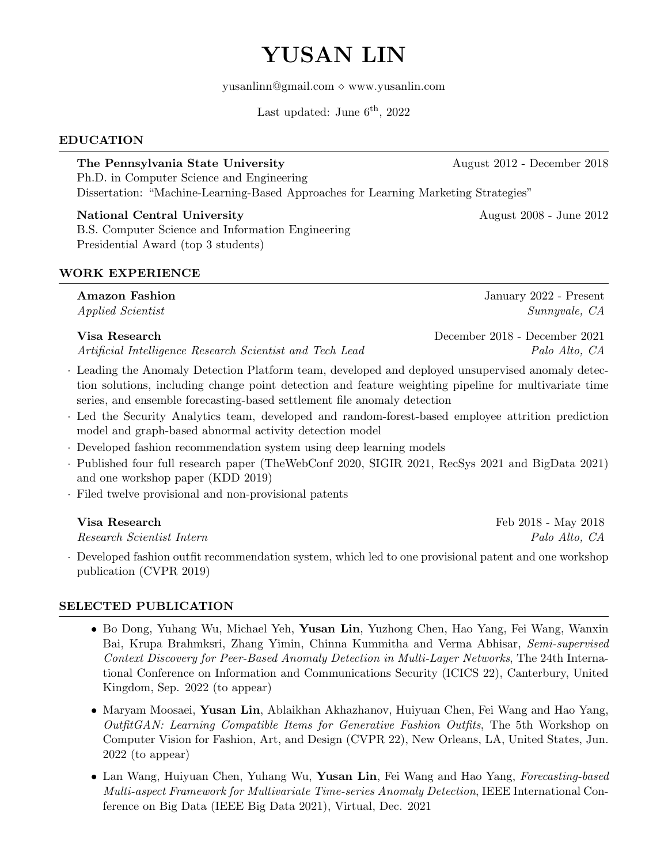# YUSAN LIN

yusanlinn@gmail.com  $\diamond$  www.yusanlin.com

Last updated: June  $6<sup>th</sup>$ , 2022

# EDUCATION

The Pennsylvania State University August 2012 - December 2018 Ph.D. in Computer Science and Engineering Dissertation: "Machine-Learning-Based Approaches for Learning Marketing Strategies"

### National Central University **August 2008** - June 2012

B.S. Computer Science and Information Engineering Presidential Award (top 3 students)

# WORK EXPERIENCE

| <b>Amazon Fashion</b>                            | January 2022 - Present      |
|--------------------------------------------------|-----------------------------|
| <i>Applied Scientist</i>                         | Sunnyvale, CA               |
| $\mathbf{V}^{\dagger}$ $\mathbf{D}$ $\mathbf{I}$ | $0.10 \, \mathrm{N}$<br>001 |

Artificial Intelligence Research Scientist and Tech Lead Palo Alto, CA

- · Leading the Anomaly Detection Platform team, developed and deployed unsupervised anomaly detection solutions, including change point detection and feature weighting pipeline for multivariate time series, and ensemble forecasting-based settlement file anomaly detection
- · Led the Security Analytics team, developed and random-forest-based employee attrition prediction model and graph-based abnormal activity detection model
- · Developed fashion recommendation system using deep learning models
- · Published four full research paper (TheWebConf 2020, SIGIR 2021, RecSys 2021 and BigData 2021) and one workshop paper (KDD 2019)
- · Filed twelve provisional and non-provisional patents

Research Scientist Intern Palo Alto, CA

· Developed fashion outfit recommendation system, which led to one provisional patent and one workshop publication (CVPR 2019)

# SELECTED PUBLICATION

- Bo Dong, Yuhang Wu, Michael Yeh, Yusan Lin, Yuzhong Chen, Hao Yang, Fei Wang, Wanxin Bai, Krupa Brahmksri, Zhang Yimin, Chinna Kummitha and Verma Abhisar, Semi-supervised Context Discovery for Peer-Based Anomaly Detection in Multi-Layer Networks, The 24th International Conference on Information and Communications Security (ICICS 22), Canterbury, United Kingdom, Sep. 2022 (to appear)
- Maryam Moosaei, Yusan Lin, Ablaikhan Akhazhanov, Huiyuan Chen, Fei Wang and Hao Yang, OutfitGAN: Learning Compatible Items for Generative Fashion Outfits, The 5th Workshop on Computer Vision for Fashion, Art, and Design (CVPR 22), New Orleans, LA, United States, Jun. 2022 (to appear)
- Lan Wang, Huiyuan Chen, Yuhang Wu, Yusan Lin, Fei Wang and Hao Yang, Forecasting-based Multi-aspect Framework for Multivariate Time-series Anomaly Detection, IEEE International Conference on Big Data (IEEE Big Data 2021), Virtual, Dec. 2021

Visa Research December 2018 - December 2021

Visa Research **Feb 2018** - May 2018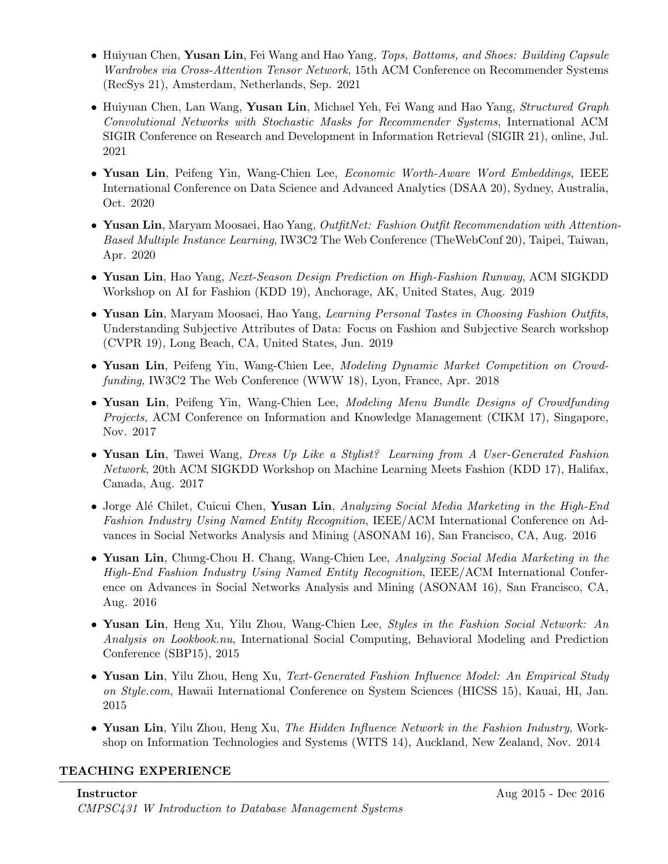- Huiyuan Chen, Yusan Lin, Fei Wang and Hao Yang, Tops, Bottoms, and Shoes: Building Capsule Wardrobes via Cross-Attention Tensor Network, 15th ACM Conference on Recommender Systems (RecSys 21), Amsterdam, Netherlands, Sep. 2021
- Huiyuan Chen, Lan Wang, Yusan Lin, Michael Yeh, Fei Wang and Hao Yang, Structured Graph Convolutional Networks with Stochastic Masks for Recommender Systems, International ACM SIGIR Conference on Research and Development in Information Retrieval (SIGIR 21), online, Jul. 2021
- Yusan Lin, Peifeng Yin, Wang-Chien Lee, *Economic Worth-Aware Word Embeddings*, IEEE International Conference on Data Science and Advanced Analytics (DSAA 20), Sydney, Australia, Oct. 2020
- Yusan Lin, Maryam Moosaei, Hao Yang, *OutfitNet: Fashion Outfit Recommendation with Attention*-Based Multiple Instance Learning, IW3C2 The Web Conference (TheWebConf 20), Taipei, Taiwan, Apr. 2020
- Yusan Lin, Hao Yang, Next-Season Design Prediction on High-Fashion Runway, ACM SIGKDD Workshop on AI for Fashion (KDD 19), Anchorage, AK, United States, Aug. 2019
- Yusan Lin, Maryam Moosaei, Hao Yang, Learning Personal Tastes in Choosing Fashion Outfits, Understanding Subjective Attributes of Data: Focus on Fashion and Subjective Search workshop (CVPR 19), Long Beach, CA, United States, Jun. 2019
- Yusan Lin, Peifeng Yin, Wang-Chien Lee, Modeling Dynamic Market Competition on Crowdfunding, IW3C2 The Web Conference (WWW 18), Lyon, France, Apr. 2018
- Yusan Lin, Peifeng Yin, Wang-Chien Lee, Modeling Menu Bundle Designs of Crowdfunding Projects, ACM Conference on Information and Knowledge Management (CIKM 17), Singapore, Nov. 2017
- Yusan Lin, Tawei Wang, *Dress Up Like a Stylist? Learning from A User-Generated Fashion* Network, 20th ACM SIGKDD Workshop on Machine Learning Meets Fashion (KDD 17), Halifax, Canada, Aug. 2017
- Jorge Alé Chilet, Cuicui Chen, Yusan Lin, Analyzing Social Media Marketing in the High-End Fashion Industry Using Named Entity Recognition, IEEE/ACM International Conference on Advances in Social Networks Analysis and Mining (ASONAM 16), San Francisco, CA, Aug. 2016
- Yusan Lin, Chung-Chou H. Chang, Wang-Chien Lee, Analyzing Social Media Marketing in the High-End Fashion Industry Using Named Entity Recognition, IEEE/ACM International Conference on Advances in Social Networks Analysis and Mining (ASONAM 16), San Francisco, CA, Aug. 2016
- Yusan Lin, Heng Xu, Yilu Zhou, Wang-Chien Lee, Styles in the Fashion Social Network: An Analysis on Lookbook.nu, International Social Computing, Behavioral Modeling and Prediction Conference (SBP15), 2015
- Yusan Lin, Yilu Zhou, Heng Xu, Text-Generated Fashion Influence Model: An Empirical Study on Style.com, Hawaii International Conference on System Sciences (HICSS 15), Kauai, HI, Jan. 2015
- Yusan Lin, Yilu Zhou, Heng Xu, The Hidden Influence Network in the Fashion Industry, Workshop on Information Technologies and Systems (WITS 14), Auckland, New Zealand, Nov. 2014

### TEACHING EXPERIENCE